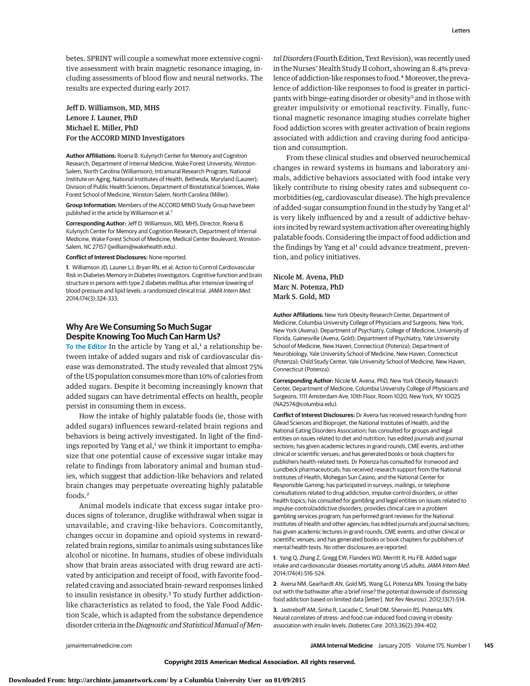betes. SPRINT will couple a somewhat more extensive cognitive assessment with brain magnetic resonance imaging, including assessments of blood flow and neural networks. The results are expected during early 2017.

## Jeff D. Williamson, MD, MHS Lenore J. Launer, PhD Michael E. Miller, PhD For the ACCORD MIND Investigators

**Author Affiliations:** Roena B. Kulynych Center for Memory and Cognition Research, Department of Internal Medicine, Wake Forest University, Winston-Salem, North Carolina (Williamson); Intramural Research Program, National Institute on Aging, National Institutes of Health, Bethesda, Maryland (Launer); Division of Public Health Sciences, Department of Biostatistical Sciences, Wake Forest School of Medicine, Winston-Salem, North Carolina (Miller).

**Group Information:** Members of the ACCORD MIND Study Group have been published in the article by Williamson et al.<sup>1</sup>

**Corresponding Author:** Jeff D. Williamson, MD, MHS, Director, Roena B. Kulynych Center for Memory and Cognition Research, Department of Internal Medicine, Wake Forest School of Medicine, Medical Center Boulevard, Winston-Salem, NC 27157 [\(jwilliam@wakehealth.edu\)](mailto:jwilliam@wakehealth.edu).

**Conflict of Interest Disclosures:** None reported.

**1**. Williamson JD, Launer LJ, Bryan RN, et al; Action to Control Cardiovascular Risk in Diabetes Memory in Diabetes Investigators. Cognitive function and brain structure in persons with type 2 diabetes mellitus after intensive lowering of blood pressure and lipid levels: a randomized clinical trial. [JAMA Intern Med](http://www.ncbi.nlm.nih.gov/pubmed/24493100). [2014;174\(3\):324-333.](http://www.ncbi.nlm.nih.gov/pubmed/24493100)

## **Why Are We Consuming So Much Sugar Despite Knowing Too Much Can Harm Us?**

**To the Editor** In the article by Yang et al,<sup>1</sup> a relationship between intake of added sugars and risk of cardiovascular disease was demonstrated. The study revealed that almost 75% of the US population consumesmore than 10% of calories from added sugars. Despite it becoming increasingly known that added sugars can have detrimental effects on health, people persist in consuming them in excess.

How the intake of highly palatable foods (ie, those with added sugars) influences reward-related brain regions and behaviors is being actively investigated. In light of the findings reported by Yang et al, $<sup>1</sup>$  we think it important to empha-</sup> size that one potential cause of excessive sugar intake may relate to findings from laboratory animal and human studies, which suggest that addiction-like behaviors and related brain changes may perpetuate overeating highly palatable foods.<sup>2</sup>

Animal models indicate that excess sugar intake produces signs of tolerance, druglike withdrawal when sugar is unavailable, and craving-like behaviors. Concomitantly, changes occur in dopamine and opioid systems in rewardrelated brain regions, similar to animals using substances like alcohol or nicotine. In humans, studies of obese individuals show that brain areas associated with drug reward are activated by anticipation and receipt of food, with favorite food– related craving and associated brain-reward responses linked to insulin resistance in obesity.<sup>3</sup> To study further addictionlike characteristics as related to food, the Yale Food Addiction Scale, which is adapted from the substance dependence disorder criteria in the*Diagnostic and StatisticalManual ofMen-* *tal Disorders* (Fourth Edition, Text Revision), was recently used in the Nurses' Health Study II cohort, showing an 8.4% prevalence of addiction-like responses to food.<sup>4</sup> Moreover, the prevalence of addiction-like responses to food is greater in participants with binge-eating disorder or obesity<sup>5</sup> and in those with greater impulsivity or emotional reactivity. Finally, functional magnetic resonance imaging studies correlate higher food addiction scores with greater activation of brain regions associated with addiction and craving during food anticipation and consumption.

From these clinical studies and observed neurochemical changes in reward systems in humans and laboratory animals, addictive behaviors associated with food intake very likely contribute to rising obesity rates and subsequent comorbidities (eg, cardiovascular disease). The high prevalence of added-sugar consumption found in the study by Yang et al<sup>1</sup> is very likely influenced by and a result of addictive behaviors incited by reward system activation after overeating highly palatable foods. Considering the impact of food addiction and the findings by Yang et al<sup>1</sup> could advance treatment, prevention, and policy initiatives.

Nicole M. Avena, PhD Marc N. Potenza, PhD Mark S. Gold, MD

**Author Affiliations:** New York Obesity Research Center, Department of Medicine, Columbia University College of Physicians and Surgeons, New York, New York (Avena); Department of Psychiatry, College of Medicine, University of Florida, Gainesville (Avena, Gold); Department of Psychiatry, Yale University School of Medicine, New Haven, Connecticut (Potenza); Department of Neurobiology, Yale University School of Medicine, New Haven, Connecticut (Potenza); Child Study Center, Yale University School of Medicine, New Haven, Connecticut (Potenza).

**Corresponding Author:** Nicole M. Avena, PhD, New York Obesity Research Center, Department of Medicine, Columbia University College of Physicians and Surgeons, 1111 Amsterdam Ave, 10th Floor, Room 1020, New York, NY 10025 [\(NA2574@columbia.edu\)](mailto:NA2574@columbia.edu).

**Conflict of Interest Disclosures:** Dr Avena has received research funding from Gilead Sciences and Bioprojet, the National Institutes of Health, and the National Eating Disorders Association; has consulted for groups and legal entities on issues related to diet and nutrition; has edited journals and journal sections; has given academic lectures in grand rounds, CME events, and other clinical or scientific venues; and has generated books or book chapters for publishers health-related texts. Dr Potenza has consulted for Ironwood and Lundbeck pharmaceuticals; has received research support from the National Institutes of Health, Mohegan Sun Casino, and the National Center for Responsible Gaming; has participated in surveys, mailings, or telephone consultations related to drug addiction, impulse-control disorders, or other health topics; has consulted for gambling and legal entities on issues related to impulse-control/addictive disorders; provides clinical care in a problem gambling services program; has performed grant reviews for the National Institutes of Health and other agencies; has edited journals and journal sections; has given academic lectures in grand rounds, CME events, and other clinical or scientific venues; and has generated books or book chapters for publishers of mental health texts. No other disclosures are reported.

**1**. Yang Q, Zhang Z, Gregg EW, Flanders WD, Merritt R, Hu FB. Added sugar intake and cardiovascular diseases mortality among US adults. [JAMA Intern Med](http://www.ncbi.nlm.nih.gov/pubmed/24493081). [2014;174\(4\):516-524.](http://www.ncbi.nlm.nih.gov/pubmed/24493081)

**2**. Avena NM, Gearhardt AN, Gold MS, Wang GJ, Potenza MN. Tossing the baby out with the bathwater after a brief rinse? the potential downside of dismissing food addiction based on limited data [letter]. [Nat Rev Neurosci](http://www.ncbi.nlm.nih.gov/pubmed/22714023). 2012;13(7):514.

**3**. Jastreboff AM, Sinha R, Lacadie C, Small DM, Sherwin RS, Potenza MN. Neural correlates of stress- and food cue-induced food craving in obesity: association with insulin levels. Diabetes Care[. 2013;36\(2\):394-402.](http://www.ncbi.nlm.nih.gov/pubmed/23069840)